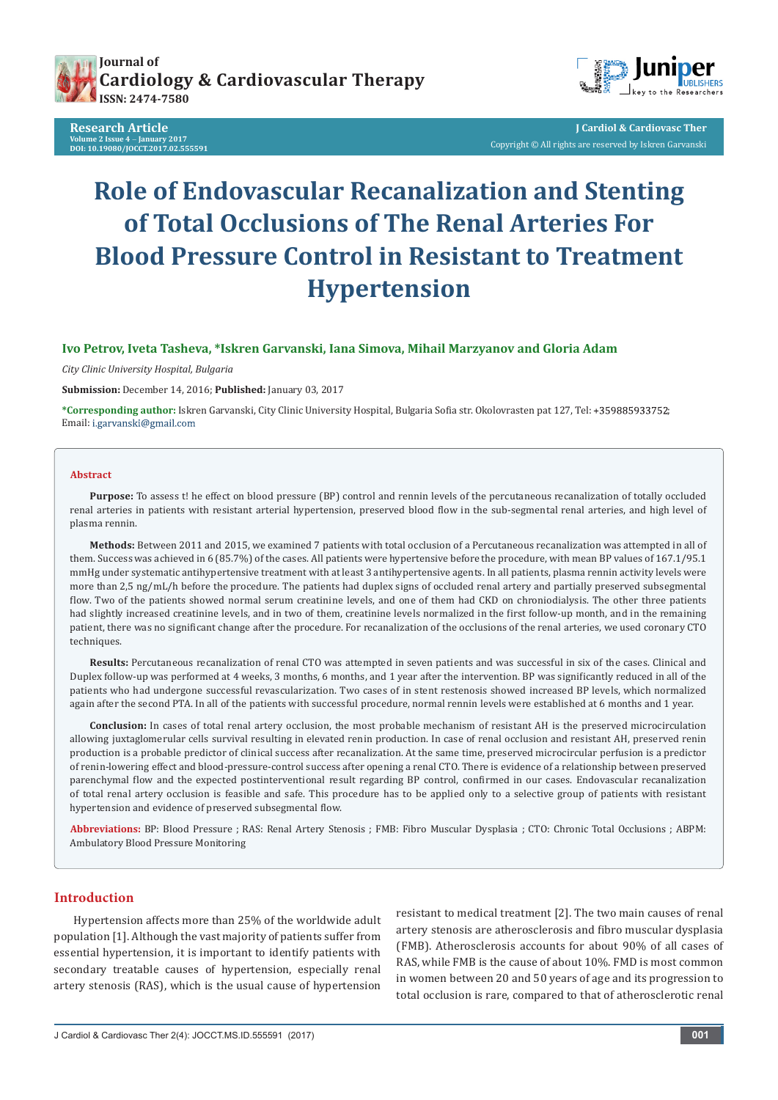





**J Cardiol & Cardiovasc Ther** Copyright © All rights are reserved by Iskren Garvanski

# **Role of Endovascular Recanalization and Stenting of Total Occlusions of The Renal Arteries For Blood Pressure Control in Resistant to Treatment Hypertension**

# **Ivo Petrov, Iveta Tasheva, \*Iskren Garvanski, Iana Simova, Mihail Marzyanov and Gloria Adam**

*City Clinic University Hospital, Bulgaria*

### **Submission:** December 14, 2016; **Published:** January 03, 2017

**\*Corresponding author:** Iskren Garvanski, City Clinic University Hospital, Bulgaria Sofia str. Okolovrasten pat 127, Tel: ; Email: i.garvanski@gmail.com

#### **Abstract**

**Purpose:** To assess t! he effect on blood pressure (BP) control and rennin levels of the percutaneous recanalization of totally occluded renal arteries in patients with resistant arterial hypertension, preserved blood flow in the sub-segmental renal arteries, and high level of plasma rennin.

**Methods:** Between 2011 and 2015, we examined 7 patients with total occlusion of a Percutaneous recanalization was attempted in all of them. Success was achieved in 6 (85.7%) of the cases. All patients were hypertensive before the procedure, with mean BP values of 167.1/95.1 mmHg under systematic antihypertensive treatment with at least 3 antihypertensive agents. In all patients, plasma rennin activity levels were more than 2,5 ng/mL/h before the procedure. The patients had duplex signs of occluded renal artery and partially preserved subsegmental flow. Two of the patients showed normal serum creatinine levels, and one of them had CKD on chroniodialysis. The other three patients had slightly increased creatinine levels, and in two of them, creatinine levels normalized in the first follow-up month, and in the remaining patient, there was no significant change after the procedure. For recanalization of the occlusions of the renal arteries, we used coronary CTO techniques.

**Results:** Percutaneous recanalization of renal CTO was attempted in seven patients and was successful in six of the cases. Clinical and Duplex follow-up was performed at 4 weeks, 3 months, 6 months, and 1 year after the intervention. BP was significantly reduced in all of the patients who had undergone successful revascularization. Two cases of in stent restenosis showed increased BP levels, which normalized again after the second PTA. In all of the patients with successful procedure, normal rennin levels were established at 6 months and 1 year.

**Conclusion:** In cases of total renal artery occlusion, the most probable mechanism of resistant AH is the preserved microcirculation allowing juxtaglomerular cells survival resulting in elevated renin production. In case of renal occlusion and resistant AH, preserved renin production is a probable predictor of clinical success after recanalization. At the same time, preserved microcircular perfusion is a predictor of renin-lowering effect and blood-pressure-control success after opening a renal CTO. There is evidence of a relationship between preserved parenchymal flow and the expected postinterventional result regarding BP control, confirmed in our cases. Endovascular recanalization of total renal artery occlusion is feasible and safe. This procedure has to be applied only to a selective group of patients with resistant hypertension and evidence of preserved subsegmental flow.

**Abbreviations:** BP: Blood Pressure ; RAS: Renal Artery Stenosis ; FMB: Fibro Muscular Dysplasia ; CTO: Chronic Total Occlusions ; ABPM: Ambulatory Blood Pressure Monitoring

# **Introduction**

Hypertension affects more than 25% of the worldwide adult population [1]. Although the vast majority of patients suffer from essential hypertension, it is important to identify patients with secondary treatable causes of hypertension, especially renal artery stenosis (RAS), which is the usual cause of hypertension resistant to medical treatment [2]. The two main causes of renal artery stenosis are atherosclerosis and fibro muscular dysplasia (FMB). Atherosclerosis accounts for about 90% of all cases of RAS, while FMB is the cause of about 10%. FMD is most common in women between 20 and 50 years of age and its progression to total occlusion is rare, compared to that of atherosclerotic renal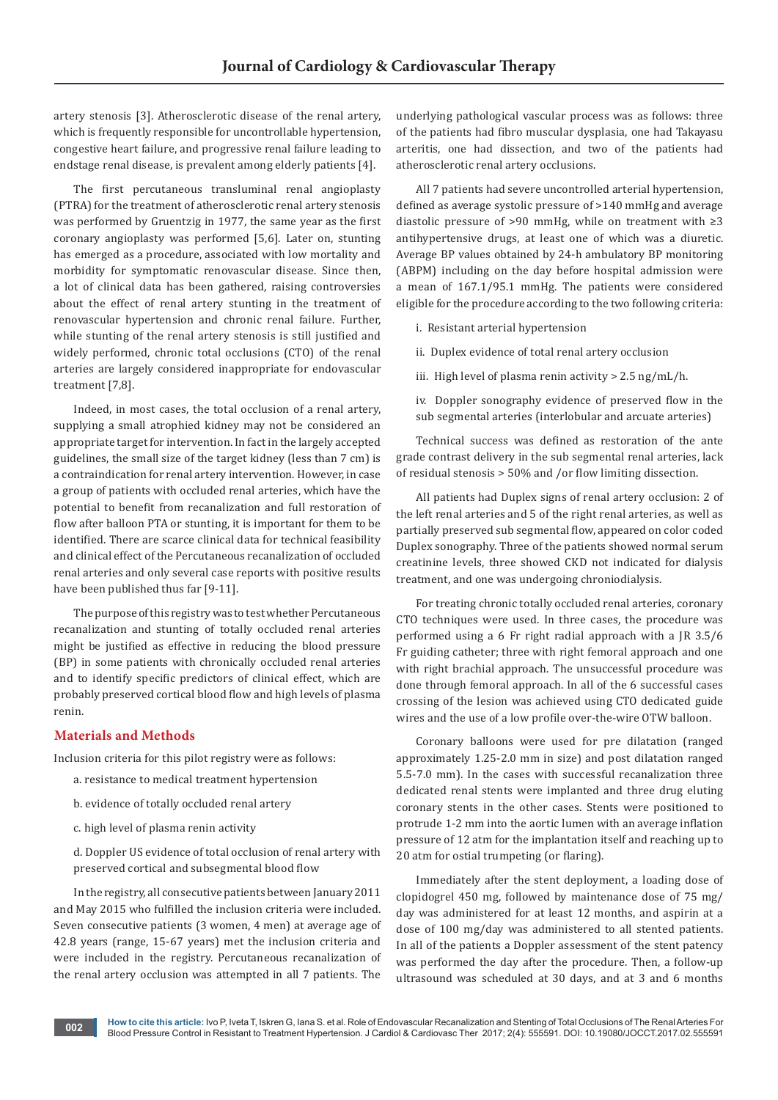artery stenosis [3]. Atherosclerotic disease of the renal artery, which is frequently responsible for uncontrollable hypertension, congestive heart failure, and progressive renal failure leading to endstage renal disease, is prevalent among elderly patients [4].

The first percutaneous transluminal renal angioplasty (PTRA) for the treatment of atherosclerotic renal artery stenosis was performed by Gruentzig in 1977, the same year as the first coronary angioplasty was performed [5,6]. Later on, stunting has emerged as a procedure, associated with low mortality and morbidity for symptomatic renovascular disease. Since then, a lot of clinical data has been gathered, raising controversies about the effect of renal artery stunting in the treatment of renovascular hypertension and chronic renal failure. Further, while stunting of the renal artery stenosis is still justified and widely performed, chronic total occlusions (CTO) of the renal arteries are largely considered inappropriate for endovascular treatment [7,8].

Indeed, in most cases, the total occlusion of a renal artery, supplying a small atrophied kidney may not be considered an appropriate target for intervention. In fact in the largely accepted guidelines, the small size of the target kidney (less than 7 cm) is a contraindication for renal artery intervention. However, in case a group of patients with occluded renal arteries, which have the potential to benefit from recanalization and full restoration of flow after balloon PTA or stunting, it is important for them to be identified. There are scarce clinical data for technical feasibility and clinical effect of the Percutaneous recanalization of occluded renal arteries and only several case reports with positive results have been published thus far [9-11].

The purpose of this registry was to test whether Percutaneous recanalization and stunting of totally occluded renal arteries might be justified as effective in reducing the blood pressure (BP) in some patients with chronically occluded renal arteries and to identify specific predictors of clinical effect, which are probably preserved cortical blood flow and high levels of plasma renin.

# **Materials and Methods**

Inclusion criteria for this pilot registry were as follows:

- a. resistance to medical treatment hypertension
- b. evidence of totally occluded renal artery
- c. high level of plasma renin activity

d. Doppler US evidence of total occlusion of renal artery with preserved cortical and subsegmental blood flow

In the registry, all consecutive patients between January 2011 and May 2015 who fulfilled the inclusion criteria were included. Seven consecutive patients (3 women, 4 men) at average age of 42.8 years (range, 15-67 years) met the inclusion criteria and were included in the registry. Percutaneous recanalization of the renal artery occlusion was attempted in all 7 patients. The

underlying pathological vascular process was as follows: three of the patients had fibro muscular dysplasia, one had Takayasu arteritis, one had dissection, and two of the patients had atherosclerotic renal artery occlusions.

All 7 patients had severe uncontrolled arterial hypertension, defined as average systolic pressure of >140 mmHg and average diastolic pressure of >90 mmHg, while on treatment with ≥3 antihypertensive drugs, at least one of which was a diuretic. Average BP values obtained by 24-h ambulatory BP monitoring (ABPM) including on the day before hospital admission were a mean of 167.1/95.1 mmHg. The patients were considered eligible for the procedure according to the two following criteria:

- i. Resistant arterial hypertension
- ii. Duplex evidence of total renal artery occlusion
- iii. High level of plasma renin activity > 2.5 ng/mL/h.
- iv. Doppler sonography evidence of preserved flow in the sub segmental arteries (interlobular and arcuate arteries)

Technical success was defined as restoration of the ante grade contrast delivery in the sub segmental renal arteries, lack of residual stenosis > 50% and /or flow limiting dissection.

All patients had Duplex signs of renal artery occlusion: 2 of the left renal arteries and 5 of the right renal arteries, as well as partially preserved sub segmental flow, appeared on color coded Duplex sonography. Three of the patients showed normal serum creatinine levels, three showed CKD not indicated for dialysis treatment, and one was undergoing chroniodialysis.

For treating chronic totally occluded renal arteries, coronary CTO techniques were used. In three cases, the procedure was performed using a 6 Fr right radial approach with a JR 3.5/6 Fr guiding catheter; three with right femoral approach and one with right brachial approach. The unsuccessful procedure was done through femoral approach. In all of the 6 successful cases crossing of the lesion was achieved using CTO dedicated guide wires and the use of a low profile over-the-wire OTW balloon.

Coronary balloons were used for pre dilatation (ranged approximately 1.25-2.0 mm in size) and post dilatation ranged 5.5-7.0 mm). In the cases with successful recanalization three dedicated renal stents were implanted and three drug eluting coronary stents in the other cases. Stents were positioned to protrude 1-2 mm into the aortic lumen with an average inflation pressure of 12 atm for the implantation itself and reaching up to 20 atm for ostial trumpeting (or flaring).

Immediately after the stent deployment, a loading dose of clopidogrel 450 mg, followed by maintenance dose of 75 mg/ day was administered for at least 12 months, and aspirin at a dose of 100 mg/day was administered to all stented patients. In all of the patients a Doppler assessment of the stent patency was performed the day after the procedure. Then, a follow-up ultrasound was scheduled at 30 days, and at 3 and 6 months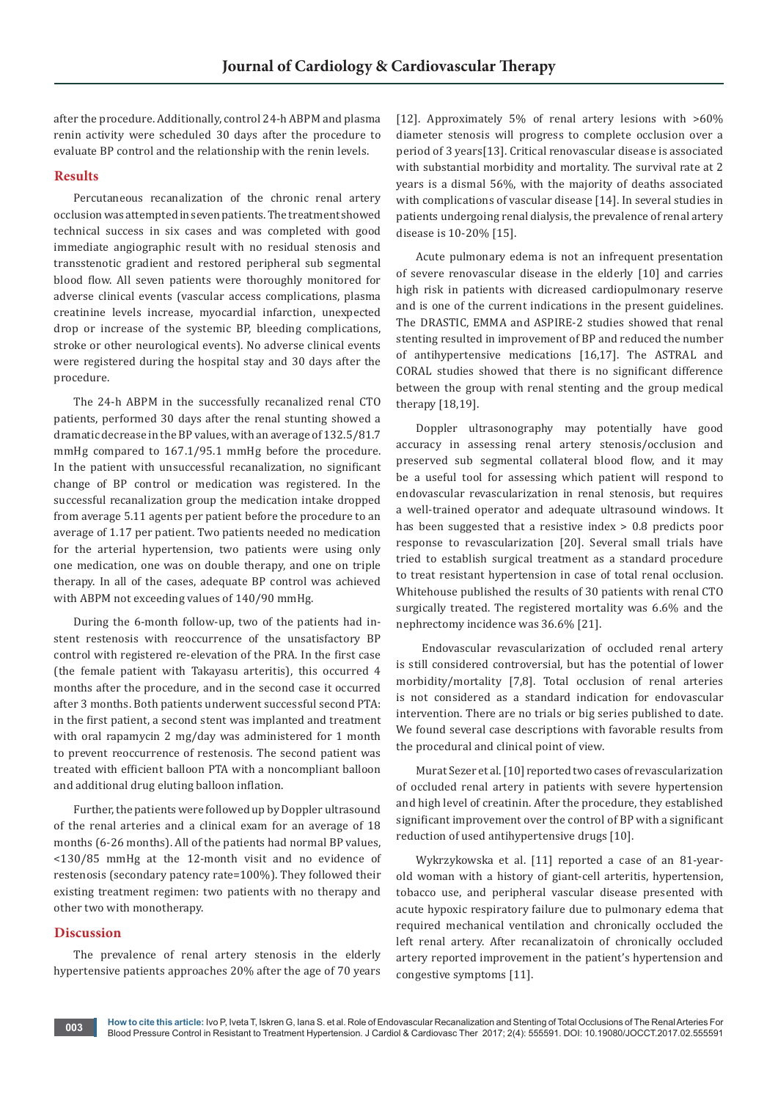after the procedure. Additionally, control 24-h ABPM and plasma renin activity were scheduled 30 days after the procedure to evaluate BP control and the relationship with the renin levels.

# **Results**

Percutaneous recanalization of the chronic renal artery occlusion was attempted in seven patients. The treatment showed technical success in six cases and was completed with good immediate angiographic result with no residual stenosis and transstenotic gradient and restored peripheral sub segmental blood flow. All seven patients were thoroughly monitored for adverse clinical events (vascular access complications, plasma creatinine levels increase, myocardial infarction, unexpected drop or increase of the systemic BP, bleeding complications, stroke or other neurological events). No adverse clinical events were registered during the hospital stay and 30 days after the procedure.

The 24-h ABPM in the successfully recanalized renal CTO patients, performed 30 days after the renal stunting showed a dramatic decrease in the BP values, with an average of 132.5/81.7 mmHg compared to 167.1/95.1 mmHg before the procedure. In the patient with unsuccessful recanalization, no significant change of BP control or medication was registered. In the successful recanalization group the medication intake dropped from average 5.11 agents per patient before the procedure to an average of 1.17 per patient. Two patients needed no medication for the arterial hypertension, two patients were using only one medication, one was on double therapy, and one on triple therapy. In all of the cases, adequate BP control was achieved with ABPM not exceeding values of 140/90 mmHg.

During the 6-month follow-up, two of the patients had instent restenosis with reoccurrence of the unsatisfactory BP control with registered re-elevation of the PRA. In the first case (the female patient with Takayasu arteritis), this occurred 4 months after the procedure, and in the second case it occurred after 3 months. Both patients underwent successful second PTA: in the first patient, a second stent was implanted and treatment with oral rapamycin 2 mg/day was administered for 1 month to prevent reoccurrence of restenosis. The second patient was treated with efficient balloon PTA with a noncompliant balloon and additional drug eluting balloon inflation.

Further, the patients were followed up by Doppler ultrasound of the renal arteries and a clinical exam for an average of 18 months (6-26 months). All of the patients had normal BP values, <130/85 mmHg at the 12-month visit and no evidence of restenosis (secondary patency rate=100%). They followed their existing treatment regimen: two patients with no therapy and other two with monotherapy.

# **Discussion**

The prevalence of renal artery stenosis in the elderly hypertensive patients approaches 20% after the age of 70 years [12]. Approximately 5% of renal artery lesions with >60% diameter stenosis will progress to complete occlusion over a period of 3 years[13]. Critical renovascular disease is associated with substantial morbidity and mortality. The survival rate at 2 years is a dismal 56%, with the majority of deaths associated with complications of vascular disease [14]. In several studies in patients undergoing renal dialysis, the prevalence of renal artery disease is 10-20% [15].

Acute pulmonary edema is not an infrequent presentation of severe renovascular disease in the elderly [10] and carries high risk in patients with dicreased cardiopulmonary reserve and is one of the current indications in the present guidelines. The DRASTIC, ЕММА and ASPIRE-2 studies showed that renal stenting resulted in improvement of BP and reduced the number of antihypertensive medications [16,17]. The ASTRAL and CORAL studies showed that there is no significant difference between the group with renal stenting and the group medical therapy [18,19].

Doppler ultrasonography may potentially have good accuracy in assessing renal artery stenosis/occlusion and preserved sub segmental collateral blood flow, and it may be a useful tool for assessing which patient will respond to endovascular revascularization in renal stenosis, but requires a well-trained operator and adequate ultrasound windows. It has been suggested that a resistive index > 0.8 predicts poor response to revascularization [20]. Several small trials have tried to establish surgical treatment as a standard procedure to treat resistant hypertension in case of total renal occlusion. Whitehouse published the results of 30 patients with renal CTO surgically treated. The registered mortality was 6.6% and the nephrectomy incidence was 36.6% [21].

 Endovascular revascularization of occluded renal artery is still considered controversial, but has the potential of lower morbidity/mortality [7,8]. Total occlusion of renal arteries is not considered as a standard indication for endovascular intervention. There are no trials or big series published to date. We found several case descriptions with favorable results from the procedural and clinical point of view.

Murat Sezer et al. [10] reported two cases of revascularization of occluded renal artery in patients with severe hypertension and high level of creatinin. After the procedure, they established significant improvement over the control of BP with a significant reduction of used antihypertensive drugs [10].

Wykrzykowska et al. [11] reported a case of an 81-yearold woman with a history of giant-cell arteritis, hypertension, tobacco use, and peripheral vascular disease presented with acute hypoxic respiratory failure due to pulmonary edema that required mechanical ventilation and chronically occluded the left renal artery. After recanalizatoin of chronically occluded artery reported improvement in the patient's hypertension and congestive symptoms [11].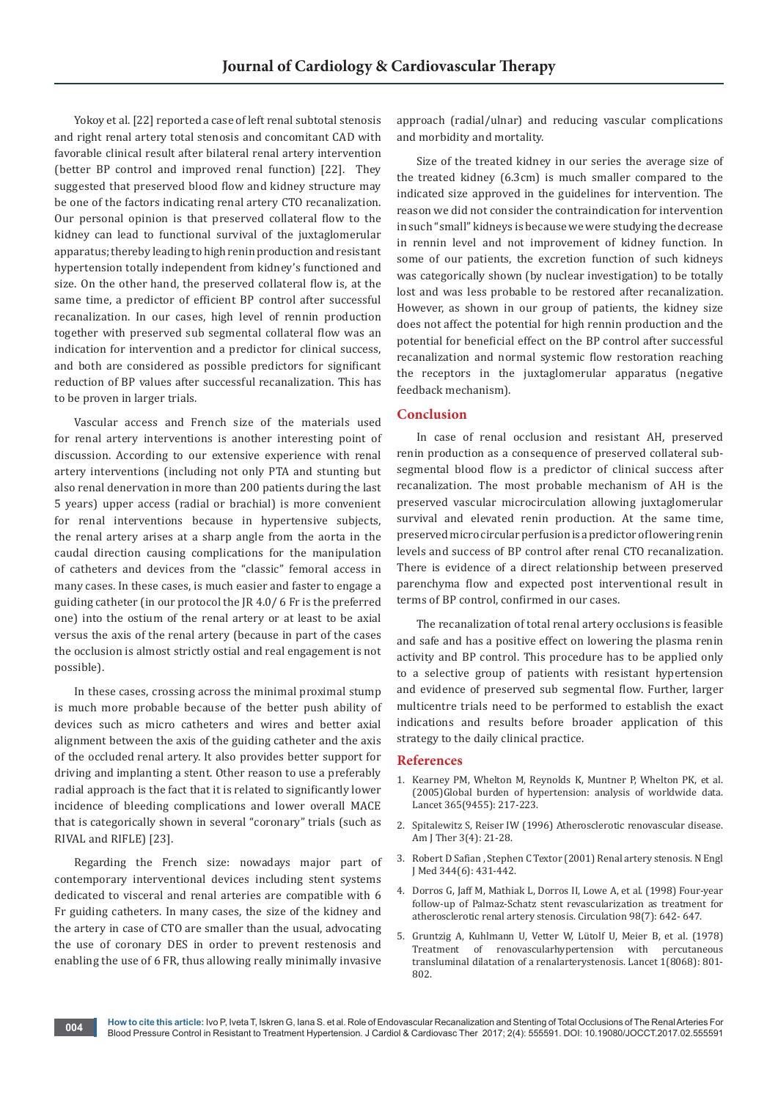Yokoy et al. [22] reported a case of left renal subtotal stenosis and right renal artery total stenosis and concomitant CAD with favorable clinical result after bilateral renal artery intervention (better BP control and improved renal function) [22]. They suggested that preserved blood flow and kidney structure may be one of the factors indicating renal artery CTO recanalization. Our personal opinion is that preserved collateral flow to the kidney can lead to functional survival of the juxtaglomerular apparatus; thereby leading to high renin production and resistant hypertension totally independent from kidney's functioned and size. On the other hand, the preserved collateral flow is, at the same time, a predictor of efficient BP control after successful recanalization. In our cases, high level of rennin production together with preserved sub segmental collateral flow was an indication for intervention and a predictor for clinical success, and both are considered as possible predictors for significant reduction of BP values after successful recanalization. This has to be proven in larger trials.

Vascular access and French size of the materials used for renal artery interventions is another interesting point of discussion. According to our extensive experience with renal artery interventions (including not only PTA and stunting but also renal denervation in more than 200 patients during the last 5 years) upper access (radial or brachial) is more convenient for renal interventions because in hypertensive subjects, the renal artery arises at a sharp angle from the aorta in the caudal direction causing complications for the manipulation of catheters and devices from the "classic" femoral access in many cases. In these cases, is much easier and faster to engage a guiding catheter (in our protocol the JR 4.0/ 6 Fr is the preferred one) into the ostium of the renal artery or at least to be axial versus the axis of the renal artery (because in part of the cases the occlusion is almost strictly ostial and real engagement is not possible).

In these cases, crossing across the minimal proximal stump is much more probable because of the better push ability of devices such as micro catheters and wires and better axial alignment between the axis of the guiding catheter and the axis of the occluded renal artery. It also provides better support for driving and implanting a stent. Other reason to use a preferably radial approach is the fact that it is related to significantly lower incidence of bleeding complications and lower overall MACE that is categorically shown in several "coronary" trials (such as RIVAL and RIFLE) [23].

Regarding the French size: nowadays major part of contemporary interventional devices including stent systems dedicated to visceral and renal arteries are compatible with 6 Fr guiding catheters. In many cases, the size of the kidney and the artery in case of CTO are smaller than the usual, advocating the use of coronary DES in order to prevent restenosis and enabling the use of 6 FR, thus allowing really minimally invasive

approach (radial/ulnar) and reducing vascular complications and morbidity and mortality.

Size of the treated kidney in our series the average size of the treated kidney (6.3cm) is much smaller compared to the indicated size approved in the guidelines for intervention. The reason we did not consider the contraindication for intervention in such "small" kidneys is because we were studying the decrease in rennin level and not improvement of kidney function. In some of our patients, the excretion function of such kidneys was categorically shown (by nuclear investigation) to be totally lost and was less probable to be restored after recanalization. However, as shown in our group of patients, the kidney size doеs not affect the potential for high rennin production and the potential for beneficial effect on the BP control after successful recanalization and normal systemic flow restoration reaching the receptors in the juxtaglomerular apparatus (negative feedback mechanism).

# **Conclusion**

In case of renal occlusion and resistant AH, preserved renin production as a consequence of preserved collateral subsegmental blood flow is a predictor of clinical success after recanalization. The most probable mechanism of AH is the preserved vascular microcirculation allowing juxtaglomerular survival and elevated renin production. At the same time, preserved micro circular perfusion is a predictor of lowering renin levels and success of BP control after renal CTO recanalization. There is evidence of a direct relationship between preserved parenchyma flow and expected post interventional result in terms of BP control, confirmed in our cases.

The recanalization of total renal artery occlusions is feasible and safe and has a positive effect on lowering the plasma renin activity and BP control. This procedure has to be applied only to a selective group of patients with resistant hypertension and evidence of preserved sub segmental flow. Further, larger multicentre trials need to be performed to establish the exact indications and results before broader application of this strategy to the daily clinical practice.

# **References**

- 1. [Kearney PM, Whelton M, Reynolds K, Muntner P, Whelton PK,](https://www.ncbi.nlm.nih.gov/pubmed/15652604) et al. (2005[\)Global burden of hypertension: analysis of worldwide data.](https://www.ncbi.nlm.nih.gov/pubmed/15652604)  Lancet 365[\(9455\):](https://www.ncbi.nlm.nih.gov/pubmed/15652604) 217-223.
- 2. [Spitalewitz S, Reiser IW \(1996\) Atherosclerotic renovascular disease.](https://www.ncbi.nlm.nih.gov/pubmed/11862267)  Am J Ther 3(4): 21-28.
- 3. Robert D Safian , Stephen C [Textor \(2001\) Renal artery stenosis. N Engl](http://www.nejm.org/doi/full/10.1056/nejm200102083440607)  J Med 344(6[\): 431-442.](http://www.nejm.org/doi/full/10.1056/nejm200102083440607)
- 4. [Dorros G, Jaff M, Mathiak L, Dorros II, Lowe A, et al. \(1998\) Four-year](https://www.ncbi.nlm.nih.gov/pubmed/9715856)  [follow-up of Palmaz-Schatz stent revascularization as treatment for](https://www.ncbi.nlm.nih.gov/pubmed/9715856)  [atherosclerotic renal artery stenosis. Circulation](https://www.ncbi.nlm.nih.gov/pubmed/9715856) 98(7): 642- 647.
- 5. [Gruntzig A, Kuhlmann U, Vetter W, L](https://www.ncbi.nlm.nih.gov/pubmed/85817)ütolf U, Meier B, et al. (1978) of renovascularhypertension with percutaneous [transluminal dilatation of a renalarterystenosis. Lancet](https://www.ncbi.nlm.nih.gov/pubmed/85817) 1(8068): 801- [802.](https://www.ncbi.nlm.nih.gov/pubmed/85817)